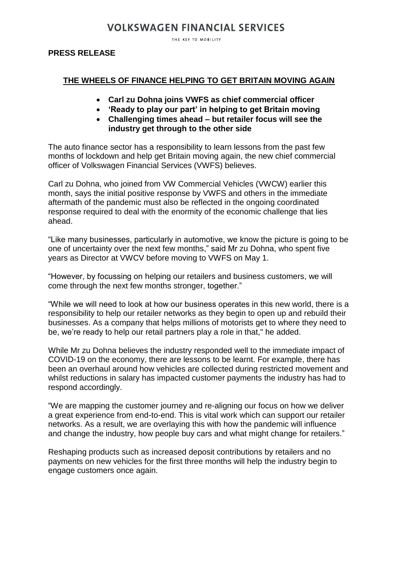# **VOLKSWAGEN FINANCIAL SERVICES**

THE KEY TO MOBILITY

#### **PRESS RELEASE**

### **THE WHEELS OF FINANCE HELPING TO GET BRITAIN MOVING AGAIN**

- **Carl zu Dohna joins VWFS as chief commercial officer**
- **'Ready to play our part' in helping to get Britain moving**
- **Challenging times ahead – but retailer focus will see the industry get through to the other side**

The auto finance sector has a responsibility to learn lessons from the past few months of lockdown and help get Britain moving again, the new chief commercial officer of Volkswagen Financial Services (VWFS) believes.

Carl zu Dohna, who joined from VW Commercial Vehicles (VWCW) earlier this month, says the initial positive response by VWFS and others in the immediate aftermath of the pandemic must also be reflected in the ongoing coordinated response required to deal with the enormity of the economic challenge that lies ahead.

"Like many businesses, particularly in automotive, we know the picture is going to be one of uncertainty over the next few months," said Mr zu Dohna, who spent five years as Director at VWCV before moving to VWFS on May 1.

"However, by focussing on helping our retailers and business customers, we will come through the next few months stronger, together."

"While we will need to look at how our business operates in this new world, there is a responsibility to help our retailer networks as they begin to open up and rebuild their businesses. As a company that helps millions of motorists get to where they need to be, we're ready to help our retail partners play a role in that," he added.

While Mr zu Dohna believes the industry responded well to the immediate impact of COVID-19 on the economy, there are lessons to be learnt. For example, there has been an overhaul around how vehicles are collected during restricted movement and whilst reductions in salary has impacted customer payments the industry has had to respond accordingly.

"We are mapping the customer journey and re-aligning our focus on how we deliver a great experience from end-to-end. This is vital work which can support our retailer networks. As a result, we are overlaying this with how the pandemic will influence and change the industry, how people buy cars and what might change for retailers."

Reshaping products such as increased deposit contributions by retailers and no payments on new vehicles for the first three months will help the industry begin to engage customers once again.